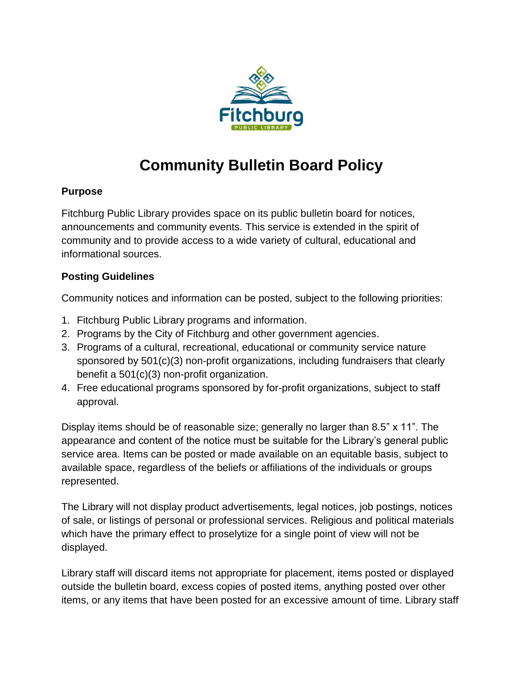

## **Community Bulletin Board Policy**

## **Purpose**

Fitchburg Public Library provides space on its public bulletin board for notices, announcements and community events. This service is extended in the spirit of community and to provide access to a wide variety of cultural, educational and informational sources.

## **Posting Guidelines**

Community notices and information can be posted, subject to the following priorities:

- 1. Fitchburg Public Library programs and information.
- 2. Programs by the City of Fitchburg and other government agencies.
- 3. Programs of a cultural, recreational, educational or community service nature sponsored by 501(c)(3) non-profit organizations, including fundraisers that clearly benefit a 501(c)(3) non-profit organization.
- 4. Free educational programs sponsored by for-profit organizations, subject to staff approval.

Display items should be of reasonable size; generally no larger than 8.5" x 11". The appearance and content of the notice must be suitable for the Library's general public service area. Items can be posted or made available on an equitable basis, subject to available space, regardless of the beliefs or affiliations of the individuals or groups represented.

The Library will not display product advertisements, legal notices, job postings, notices of sale, or listings of personal or professional services. Religious and political materials which have the primary effect to proselytize for a single point of view will not be displayed.

Library staff will discard items not appropriate for placement, items posted or displayed outside the bulletin board, excess copies of posted items, anything posted over other items, or any items that have been posted for an excessive amount of time. Library staff